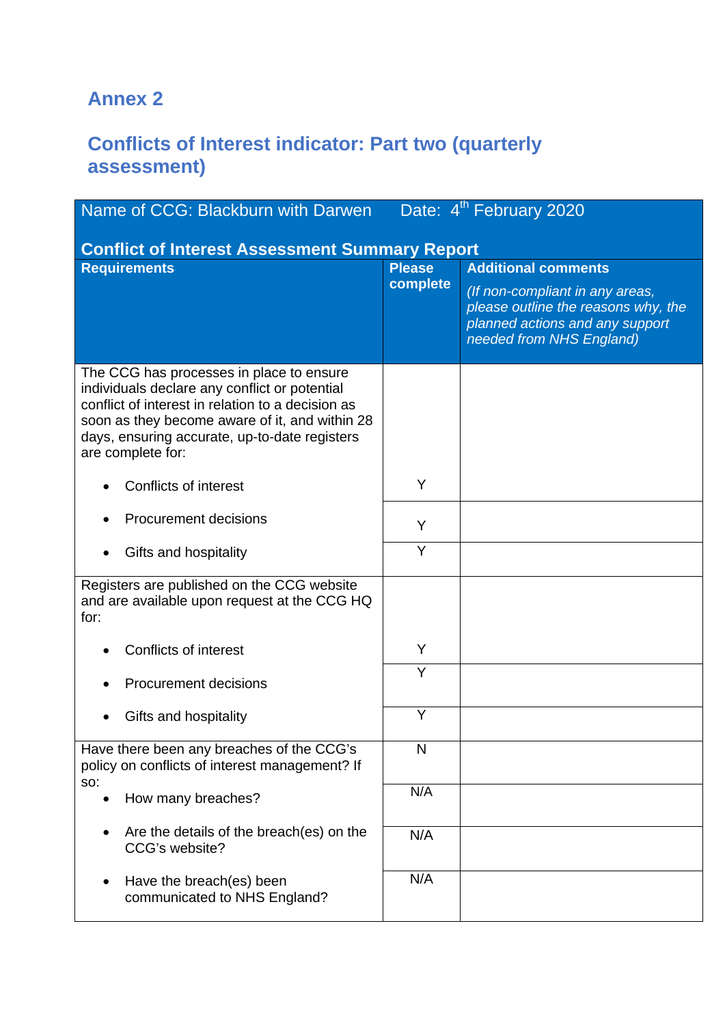## **Annex 2**

## **Conflicts of Interest indicator: Part two (quarterly assessment)**

| Name of CCG: Blackburn with Darwen Date: 4 <sup>th</sup> February 2020                                                                                                                                                                                                 |               |                                                                                                                                       |  |
|------------------------------------------------------------------------------------------------------------------------------------------------------------------------------------------------------------------------------------------------------------------------|---------------|---------------------------------------------------------------------------------------------------------------------------------------|--|
| <b>Conflict of Interest Assessment Summary Report</b>                                                                                                                                                                                                                  |               |                                                                                                                                       |  |
| <b>Requirements</b>                                                                                                                                                                                                                                                    | <b>Please</b> | <b>Additional comments</b>                                                                                                            |  |
|                                                                                                                                                                                                                                                                        | complete      | (If non-compliant in any areas,<br>please outline the reasons why, the<br>planned actions and any support<br>needed from NHS England) |  |
| The CCG has processes in place to ensure<br>individuals declare any conflict or potential<br>conflict of interest in relation to a decision as<br>soon as they become aware of it, and within 28<br>days, ensuring accurate, up-to-date registers<br>are complete for: |               |                                                                                                                                       |  |
| <b>Conflicts of interest</b>                                                                                                                                                                                                                                           | Y             |                                                                                                                                       |  |
| <b>Procurement decisions</b>                                                                                                                                                                                                                                           | Y             |                                                                                                                                       |  |
| Gifts and hospitality                                                                                                                                                                                                                                                  | Y             |                                                                                                                                       |  |
| Registers are published on the CCG website<br>and are available upon request at the CCG HQ<br>for:                                                                                                                                                                     |               |                                                                                                                                       |  |
| Conflicts of interest                                                                                                                                                                                                                                                  | Y             |                                                                                                                                       |  |
| <b>Procurement decisions</b>                                                                                                                                                                                                                                           | Y             |                                                                                                                                       |  |
| Gifts and hospitality                                                                                                                                                                                                                                                  | Y             |                                                                                                                                       |  |
| Have there been any breaches of the CCG's<br>policy on conflicts of interest management? If                                                                                                                                                                            | N             |                                                                                                                                       |  |
| SO:<br>How many breaches?                                                                                                                                                                                                                                              | N/A           |                                                                                                                                       |  |
| Are the details of the breach(es) on the<br>CCG's website?                                                                                                                                                                                                             | N/A           |                                                                                                                                       |  |
| Have the breach(es) been<br>communicated to NHS England?                                                                                                                                                                                                               | N/A           |                                                                                                                                       |  |